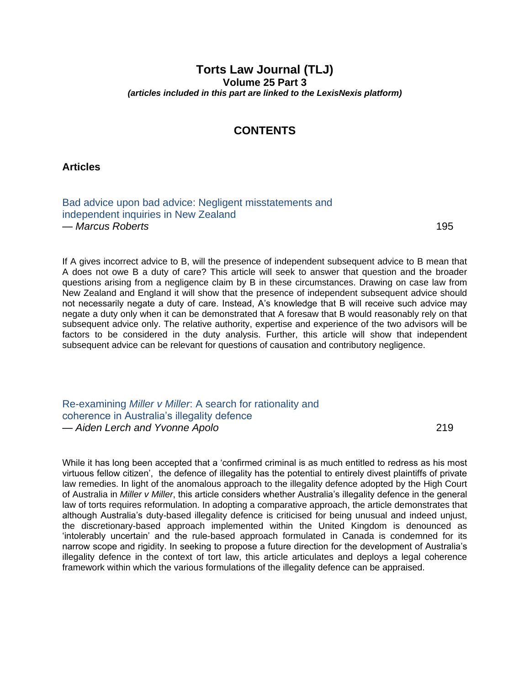## **Torts Law Journal (TLJ) Volume 25 Part 3** *(articles included in this part are linked to the LexisNexis platform)*

## **CONTENTS**

**Articles**

[Bad advice upon bad advice: Negligent misstatements and](https://advance.lexis.com/api/permalink/83034eec-a13d-4569-b32d-8c3a252c7b4c/?context=1201008) independent inquiries in New Zealand — *Marcus Roberts* 195

If A gives incorrect advice to B, will the presence of independent subsequent advice to B mean that A does not owe B a duty of care? This article will seek to answer that question and the broader questions arising from a negligence claim by B in these circumstances. Drawing on case law from New Zealand and England it will show that the presence of independent subsequent advice should not necessarily negate a duty of care. Instead, A's knowledge that B will receive such advice may negate a duty only when it can be demonstrated that A foresaw that B would reasonably rely on that subsequent advice only. The relative authority, expertise and experience of the two advisors will be factors to be considered in the duty analysis. Further, this article will show that independent subsequent advice can be relevant for questions of causation and contributory negligence.

Re-examining *Miller v Miller*: A search for rationality and [coherence in Australia's illegality defence](https://advance.lexis.com/api/permalink/fdfbc9ab-462c-4eac-a420-fcd3aded7f28/?context=1201008) — *Aiden Lerch and Yvonne Apolo* 219

While it has long been accepted that a 'confirmed criminal is as much entitled to redress as his most virtuous fellow citizen', the defence of illegality has the potential to entirely divest plaintiffs of private law remedies. In light of the anomalous approach to the illegality defence adopted by the High Court of Australia in *Miller v Miller*, this article considers whether Australia's illegality defence in the general law of torts requires reformulation. In adopting a comparative approach, the article demonstrates that although Australia's duty-based illegality defence is criticised for being unusual and indeed unjust, the discretionary-based approach implemented within the United Kingdom is denounced as 'intolerably uncertain' and the rule-based approach formulated in Canada is condemned for its narrow scope and rigidity. In seeking to propose a future direction for the development of Australia's illegality defence in the context of tort law, this article articulates and deploys a legal coherence framework within which the various formulations of the illegality defence can be appraised.